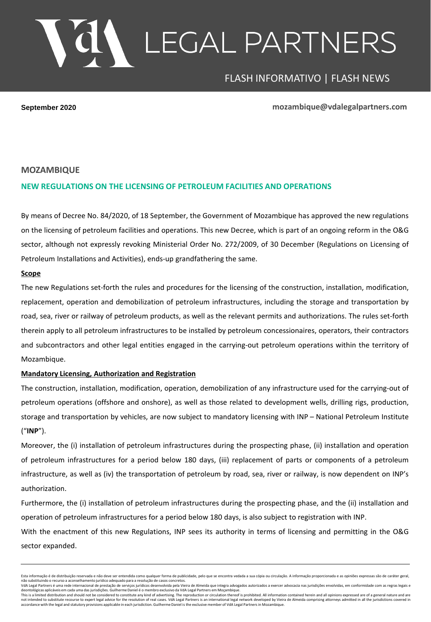# LEGAL PARTNERS

# FLASH INFORMATIVO | FLASH NEWS

**September 2020 mozambique@vdalegalpartners.com**

#### **MOZAMBIQUE**

#### **NEW REGULATIONS ON THE LICENSING OF PETROLEUM FACILITIES AND OPERATIONS**

By means of Decree No. 84/2020, of 18 September, the Government of Mozambique has approved the new regulations on the licensing of petroleum facilities and operations. This new Decree, which is part of an ongoing reform in the O&G sector, although not expressly revoking Ministerial Order No. 272/2009, of 30 December (Regulations on Licensing of Petroleum Installations and Activities), ends-up grandfathering the same.

#### **Scope**

The new Regulations set-forth the rules and procedures for the licensing of the construction, installation, modification, replacement, operation and demobilization of petroleum infrastructures, including the storage and transportation by road, sea, river or railway of petroleum products, as well as the relevant permits and authorizations. The rules set-forth therein apply to all petroleum infrastructures to be installed by petroleum concessionaires, operators, their contractors and subcontractors and other legal entities engaged in the carrying-out petroleum operations within the territory of Mozambique.

#### **Mandatory Licensing, Authorization and Registration**

The construction, installation, modification, operation, demobilization of any infrastructure used for the carrying-out of petroleum operations (offshore and onshore), as well as those related to development wells, drilling rigs, production, storage and transportation by vehicles, are now subject to mandatory licensing with INP – National Petroleum Institute ("**INP**").

Moreover, the (i) installation of petroleum infrastructures during the prospecting phase, (ii) installation and operation of petroleum infrastructures for a period below 180 days, (iii) replacement of parts or components of a petroleum infrastructure, as well as (iv) the transportation of petroleum by road, sea, river or railway, is now dependent on INP's authorization.

Furthermore, the (i) installation of petroleum infrastructures during the prospecting phase, and the (ii) installation and operation of petroleum infrastructures for a period below 180 days, is also subject to registration with INP.

With the enactment of this new Regulations, INP sees its authority in terms of licensing and permitting in the O&G sector expanded.

Esta informação é de distribuição reservada e não deve ser entendida como qualquer forma de publicidade, pelo que se encontra vedada a sua cópia ou circulação. A informação proporcionada e as opiniões expressas são de cará

un alternational de presentation de la constant de controller de constant de constant de constant de constant de constant de constant de constant de constant de constant de constant de constant de constant de constant de c

deontológicas aplicáveis em cada uma das jurisdições. Guilherme Daniel é o membro exclusivo da VdA Legal Partners em Moçambique.<br>This is a limited distribution and should not be considered to considued to oristuda and allo not intended to substitute recourse to expert legal advice for the resolution of real cases. VdA Legal Partners is an international legal network developed by Vieira de Almeida comprising attorneys admitted in all the juri <sub>.</sub><br>As applicable in each jurisdiction. Guilherme Daniel is the exclusive member of VdA Legal Partners in Mozambique.